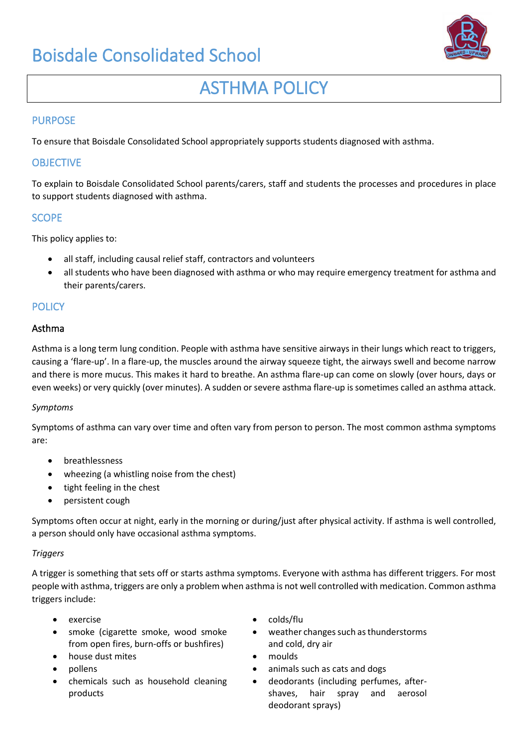

# ASTHMA POLICY

## PURPOSE

To ensure that Boisdale Consolidated School appropriately supports students diagnosed with asthma.

## **OBJECTIVE**

To explain to Boisdale Consolidated School parents/carers, staff and students the processes and procedures in place to support students diagnosed with asthma.

## SCOPE

This policy applies to:

- all staff, including causal relief staff, contractors and volunteers
- all students who have been diagnosed with asthma or who may require emergency treatment for asthma and their parents/carers.

## **POLICY**

## Asthma

Asthma is a long term lung condition. People with asthma have sensitive airways in their lungs which react to triggers, causing a 'flare-up'. In a flare-up, the muscles around the airway squeeze tight, the airways swell and become narrow and there is more mucus. This makes it hard to breathe. An asthma flare-up can come on slowly (over hours, days or even weeks) or very quickly (over minutes). A sudden or severe asthma flare-up is sometimes called an asthma attack.

## *Symptoms*

Symptoms of asthma can vary over time and often vary from person to person. The most common asthma symptoms are:

- breathlessness
- wheezing (a whistling noise from the chest)
- tight feeling in the chest
- persistent cough

Symptoms often occur at night, early in the morning or during/just after physical activity. If asthma is well controlled, a person should only have occasional asthma symptoms.

## *Triggers*

A trigger is something that sets off or starts asthma symptoms. Everyone with asthma has different triggers. For most people with asthma, triggers are only a problem when asthma is not well controlled with medication. Common asthma triggers include:

- 
- smoke (cigarette smoke, wood smoke from open fires, burn-offs or bushfires)
- house dust mites moulds
- 
- chemicals such as household cleaning products
- exercise colds/flu
	- weather changes such as thunderstorms and cold, dry air
	-
- pollens animals such as cats and dogs
	- deodorants (including perfumes, aftershaves, hair spray and aerosol deodorant sprays)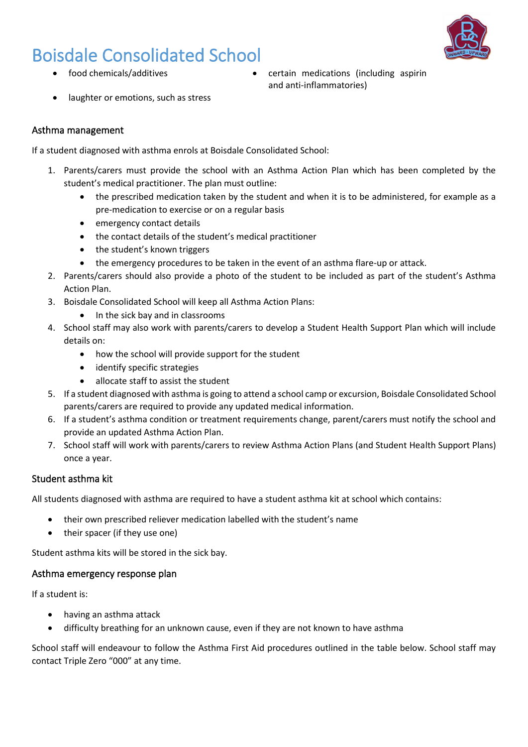

- - food chemicals/additives certain medications (including aspirin and anti-inflammatories)
- laughter or emotions, such as stress

## Asthma management

If a student diagnosed with asthma enrols at Boisdale Consolidated School:

- 1. Parents/carers must provide the school with an Asthma Action Plan which has been completed by the student's medical practitioner. The plan must outline:
	- the prescribed medication taken by the student and when it is to be administered, for example as a pre-medication to exercise or on a regular basis
	- emergency contact details
	- the contact details of the student's medical practitioner
	- the student's known triggers
	- the emergency procedures to be taken in the event of an asthma flare-up or attack.
- 2. Parents/carers should also provide a photo of the student to be included as part of the student's Asthma Action Plan.
- 3. Boisdale Consolidated School will keep all Asthma Action Plans:
	- In the sick bay and in classrooms
- 4. School staff may also work with parents/carers to develop a Student Health Support Plan which will include details on:
	- how the school will provide support for the student
	- identify specific strategies
	- allocate staff to assist the student
- 5. If a student diagnosed with asthma is going to attend a school camp or excursion, Boisdale Consolidated School parents/carers are required to provide any updated medical information.
- 6. If a student's asthma condition or treatment requirements change, parent/carers must notify the school and provide an updated Asthma Action Plan.
- 7. School staff will work with parents/carers to review Asthma Action Plans (and Student Health Support Plans) once a year.

## Student asthma kit

All students diagnosed with asthma are required to have a student asthma kit at school which contains:

- their own prescribed reliever medication labelled with the student's name
- their spacer (if they use one)

Student asthma kits will be stored in the sick bay.

## Asthma emergency response plan

If a student is:

- having an asthma attack
- difficulty breathing for an unknown cause, even if they are not known to have asthma

School staff will endeavour to follow the Asthma First Aid procedures outlined in the table below. School staff may contact Triple Zero "000" at any time.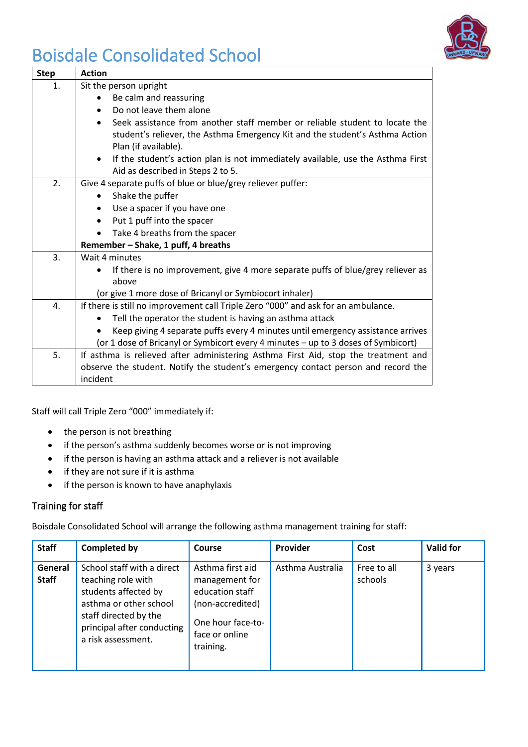

| <b>Step</b>    | <b>Action</b>                                                                                                                     |  |  |  |  |  |
|----------------|-----------------------------------------------------------------------------------------------------------------------------------|--|--|--|--|--|
| $\mathbf{1}$ . | Sit the person upright                                                                                                            |  |  |  |  |  |
|                | Be calm and reassuring                                                                                                            |  |  |  |  |  |
|                | Do not leave them alone                                                                                                           |  |  |  |  |  |
|                | Seek assistance from another staff member or reliable student to locate the                                                       |  |  |  |  |  |
|                | student's reliever, the Asthma Emergency Kit and the student's Asthma Action<br>Plan (if available).                              |  |  |  |  |  |
|                | If the student's action plan is not immediately available, use the Asthma First<br>$\bullet$<br>Aid as described in Steps 2 to 5. |  |  |  |  |  |
| 2.             | Give 4 separate puffs of blue or blue/grey reliever puffer:                                                                       |  |  |  |  |  |
|                | Shake the puffer                                                                                                                  |  |  |  |  |  |
|                | Use a spacer if you have one                                                                                                      |  |  |  |  |  |
|                | Put 1 puff into the spacer                                                                                                        |  |  |  |  |  |
|                | Take 4 breaths from the spacer                                                                                                    |  |  |  |  |  |
|                | Remember - Shake, 1 puff, 4 breaths                                                                                               |  |  |  |  |  |
| 3.             | Wait 4 minutes                                                                                                                    |  |  |  |  |  |
|                | If there is no improvement, give 4 more separate puffs of blue/grey reliever as                                                   |  |  |  |  |  |
|                | above                                                                                                                             |  |  |  |  |  |
|                | (or give 1 more dose of Bricanyl or Symbiocort inhaler)                                                                           |  |  |  |  |  |
| $\mathbf{4}$ . | If there is still no improvement call Triple Zero "000" and ask for an ambulance.                                                 |  |  |  |  |  |
|                | Tell the operator the student is having an asthma attack                                                                          |  |  |  |  |  |
|                | Keep giving 4 separate puffs every 4 minutes until emergency assistance arrives                                                   |  |  |  |  |  |
|                | (or 1 dose of Bricanyl or Symbicort every 4 minutes - up to 3 doses of Symbicort)                                                 |  |  |  |  |  |
| 5.             | If asthma is relieved after administering Asthma First Aid, stop the treatment and                                                |  |  |  |  |  |
|                | observe the student. Notify the student's emergency contact person and record the                                                 |  |  |  |  |  |
|                | incident                                                                                                                          |  |  |  |  |  |

Staff will call Triple Zero "000" immediately if:

- the person is not breathing
- if the person's asthma suddenly becomes worse or is not improving
- if the person is having an asthma attack and a reliever is not available
- if they are not sure if it is asthma
- if the person is known to have anaphylaxis

## Training for staff

Boisdale Consolidated School will arrange the following asthma management training for staff:

| <b>Staff</b>            | <b>Completed by</b>                                                                                                                                                             | <b>Course</b>                                                                                                                 | Provider         | Cost                   | <b>Valid for</b> |
|-------------------------|---------------------------------------------------------------------------------------------------------------------------------------------------------------------------------|-------------------------------------------------------------------------------------------------------------------------------|------------------|------------------------|------------------|
| General<br><b>Staff</b> | School staff with a direct<br>teaching role with<br>students affected by<br>asthma or other school<br>staff directed by the<br>principal after conducting<br>a risk assessment. | Asthma first aid<br>management for<br>education staff<br>(non-accredited)<br>One hour face-to-<br>face or online<br>training. | Asthma Australia | Free to all<br>schools | 3 years          |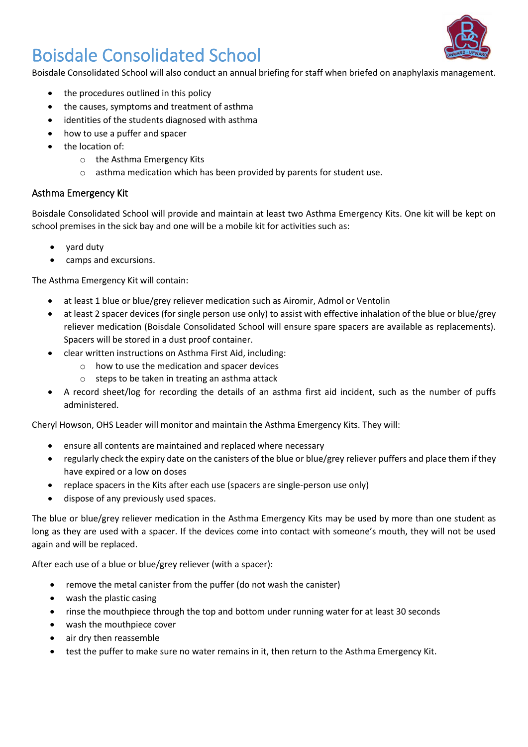Boisdale Consolidated School will also conduct an annual briefing for staff when briefed on anaphylaxis management.

- the procedures outlined in this policy
- the causes, symptoms and treatment of asthma
- identities of the students diagnosed with asthma
- how to use a puffer and spacer
- the location of:
	- o the Asthma Emergency Kits
	- o asthma medication which has been provided by parents for student use.

## Asthma Emergency Kit

Boisdale Consolidated School will provide and maintain at least two Asthma Emergency Kits. One kit will be kept on school premises in the sick bay and one will be a mobile kit for activities such as:

- yard duty
- camps and excursions.

The Asthma Emergency Kit will contain:

- at least 1 blue or blue/grey reliever medication such as Airomir, Admol or Ventolin
- at least 2 spacer devices (for single person use only) to assist with effective inhalation of the blue or blue/grey reliever medication (Boisdale Consolidated School will ensure spare spacers are available as replacements). Spacers will be stored in a dust proof container.
- clear written instructions on Asthma First Aid, including:
	- o how to use the medication and spacer devices
	- o steps to be taken in treating an asthma attack
- A record sheet/log for recording the details of an asthma first aid incident, such as the number of puffs administered.

Cheryl Howson, OHS Leader will monitor and maintain the Asthma Emergency Kits. They will:

- ensure all contents are maintained and replaced where necessary
- regularly check the expiry date on the canisters of the blue or blue/grey reliever puffers and place them if they have expired or a low on doses
- replace spacers in the Kits after each use (spacers are single-person use only)
- dispose of any previously used spaces.

The blue or blue/grey reliever medication in the Asthma Emergency Kits may be used by more than one student as long as they are used with a spacer. If the devices come into contact with someone's mouth, they will not be used again and will be replaced.

After each use of a blue or blue/grey reliever (with a spacer):

- remove the metal canister from the puffer (do not wash the canister)
- wash the plastic casing
- rinse the mouthpiece through the top and bottom under running water for at least 30 seconds
- wash the mouthpiece cover
- air dry then reassemble
- test the puffer to make sure no water remains in it, then return to the Asthma Emergency Kit.